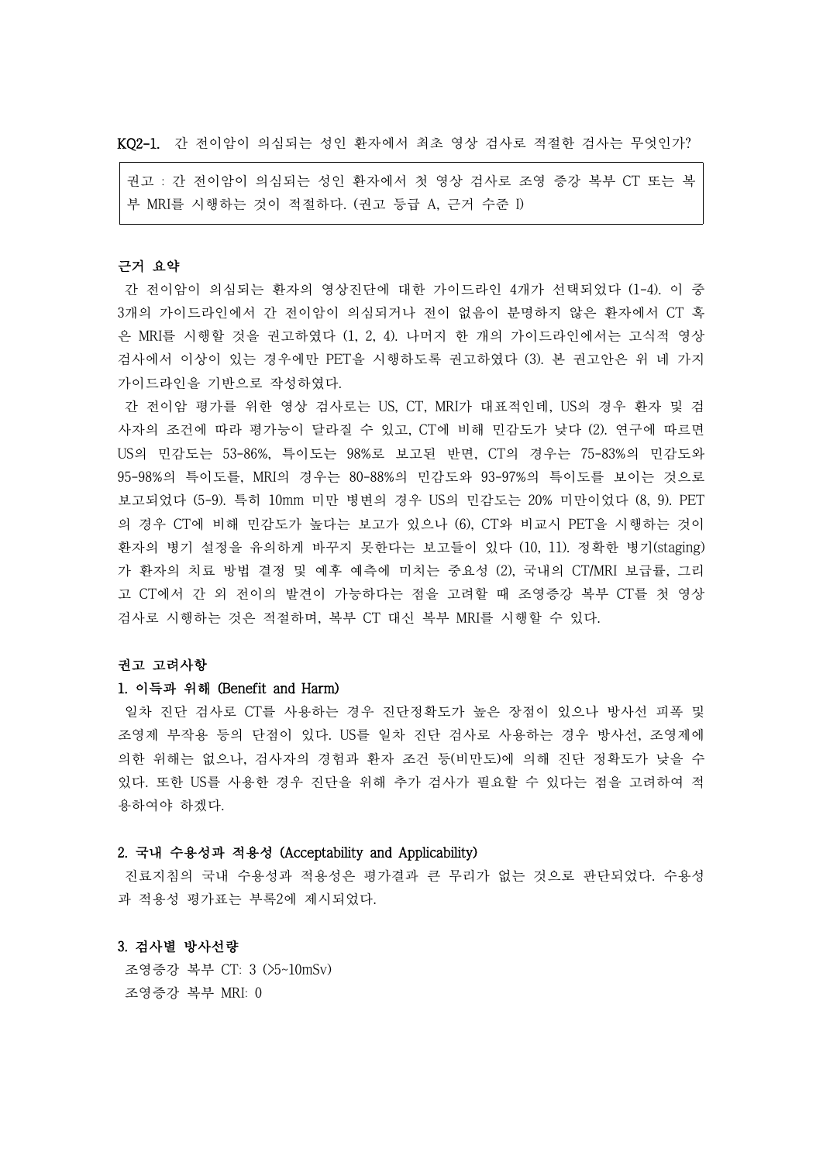KQ2-1. 간 전이암이 의심되는 성인 환자에서 최초 영상 검사로 적절한 검사는 무엇인가?

권고 : 간 전이암이 의심되는 성인 환자에서 첫 영상 검사로 조영 증강 복부 CT 또는 복 부 MRI를 시행하는 것이 적절하다. (권고 등급 A, 근거 수준 I)

# 근거 요약

간 전이암이 의심되는 환자의 영상진단에 대한 가이드라인 4개가 선택되었다 (1-4). 이 중 3개의 가이드라인에서 간 전이암이 의심되거나 전이 없음이 분명하지 않은 환자에서 CT 혹 은 MRI를 시행할 것을 권고하였다 (1, 2, 4). 나머지 한 개의 가이드라인에서는 고식적 영상 검사에서 이상이 있는 경우에만 PET을 시행하도록 권고하였다 (3). 본 권고안은 위 네 가지 가이드라인을 기반으로 작성하였다.

간 전이암 평가를 위한 영상 검사로는 US, CT, MRI가 대표적인데, US의 경우 환자 및 검 사자의 조건에 따라 평가능이 달라질 수 있고, CT에 비해 민감도가 낮다 (2). 연구에 따르면 US의 민감도는 53-86%, 특이도는 98%로 보고된 반면, CT의 경우는 75-83%의 민감도와 95-98%의 특이도를, MRI의 경우는 80-88%의 민감도와 93-97%의 특이도를 보이는 것으로 보고되었다 (5-9). 특히 10mm 미만 병변의 경우 US의 민감도는 20% 미만이었다 (8, 9). PET 의 경우 CT에 비해 민감도가 높다는 보고가 있으나 (6), CT와 비교시 PET을 시행하는 것이 환자의 병기 설정을 유의하게 바꾸지 못한다는 보고들이 있다 (10, 11). 정확한 병기(staging) 가 환자의 치료 방법 결정 및 예후 예측에 미치는 중요성 (2), 국내의 CT/MRI 보급률, 그리 고 CT에서 간 외 전이의 발견이 가능하다는 점을 고려할 때 조영증강 복부 CT를 첫 영상 검사로 시행하는 것은 적절하며, 복부 CT 대신 복부 MRI를 시행할 수 있다.

#### 권고 고려사항

## 1. 이득과 위해 (Benefit and Harm)

일차 진단 검사로 CT를 사용하는 경우 진단정확도가 높은 장점이 있으나 방사선 피폭 및 조영제 부작용 등의 단점이 있다. US를 일차 진단 검사로 사용하는 경우 방사선, 조영제에 의한 위해는 없으나, 검사자의 경험과 환자 조건 등(비만도)에 의해 진단 정확도가 낮을 수 있다. 또한 US를 사용한 경우 진단을 위해 추가 검사가 필요할 수 있다는 점을 고려하여 적 용하여야 하겠다.

#### 2. 국내 수용성과 적용성 (Acceptability and Applicability)

진료지침의 국내 수용성과 적용성은 평가결과 큰 무리가 없는 것으로 판단되었다. 수용성 과 적용성 평가표는 부록2에 제시되었다.

### 3. 검사별 방사선량

조영증강 복부 CT: 3 (>5~10mSv) 조영증강 복부 MRI: 0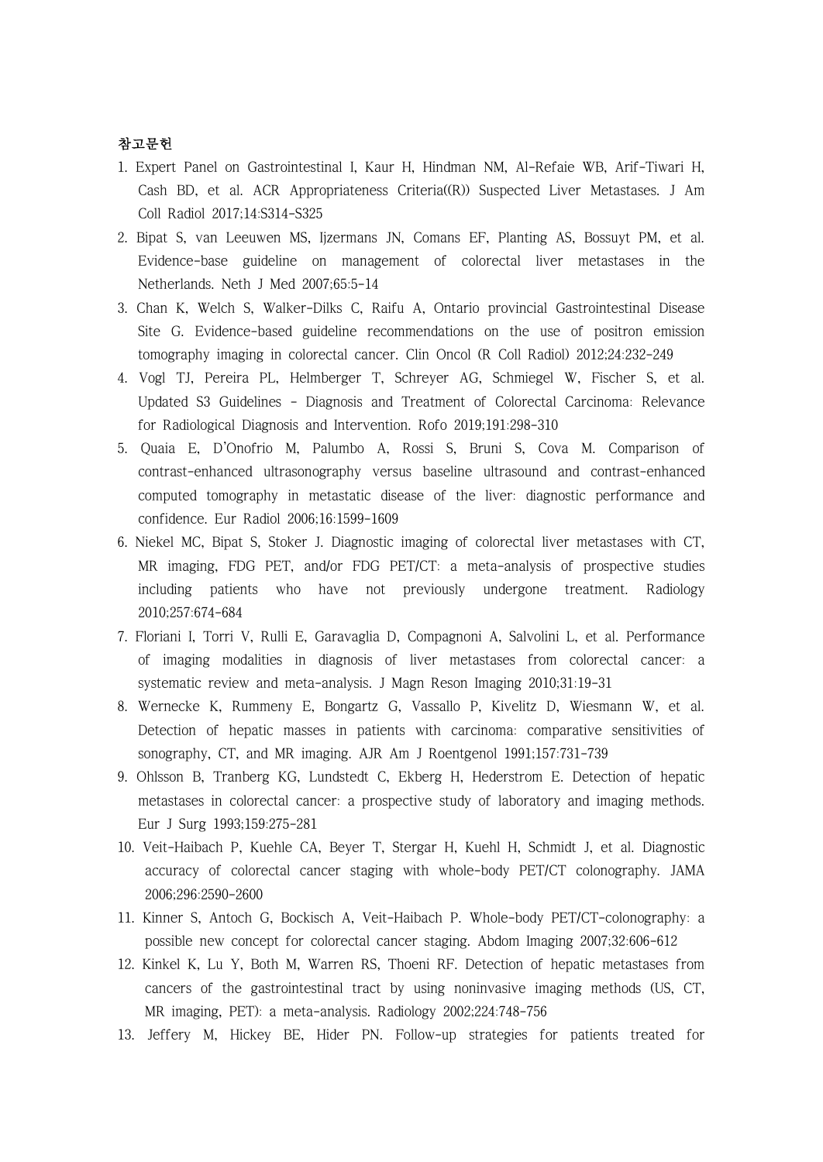# 참고문헌

- 1. Expert Panel on Gastrointestinal I, Kaur H, Hindman NM, Al-Refaie WB, Arif-Tiwari H, Cash BD, et al. ACR Appropriateness Criteria((R)) Suspected Liver Metastases. J Am Coll Radiol 2017;14:S314-S325
- 2. Bipat S, van Leeuwen MS, Ijzermans JN, Comans EF, Planting AS, Bossuyt PM, et al. Evidence-base guideline on management of colorectal liver metastases in the Netherlands. Neth J Med 2007;65:5-14
- 3. Chan K, Welch S, Walker-Dilks C, Raifu A, Ontario provincial Gastrointestinal Disease Site G. Evidence-based guideline recommendations on the use of positron emission tomography imaging in colorectal cancer. Clin Oncol (R Coll Radiol) 2012;24:232-249
- 4. Vogl TJ, Pereira PL, Helmberger T, Schreyer AG, Schmiegel W, Fischer S, et al. Updated S3 Guidelines - Diagnosis and Treatment of Colorectal Carcinoma: Relevance for Radiological Diagnosis and Intervention. Rofo 2019;191:298-310
- 5. Quaia E, D'Onofrio M, Palumbo A, Rossi S, Bruni S, Cova M. Comparison of contrast-enhanced ultrasonography versus baseline ultrasound and contrast-enhanced computed tomography in metastatic disease of the liver: diagnostic performance and confidence. Eur Radiol 2006;16:1599-1609
- 6. Niekel MC, Bipat S, Stoker J. Diagnostic imaging of colorectal liver metastases with CT, MR imaging, FDG PET, and/or FDG PET/CT: a meta-analysis of prospective studies including patients who have not previously undergone treatment. Radiology 2010;257:674-684
- 7. Floriani I, Torri V, Rulli E, Garavaglia D, Compagnoni A, Salvolini L, et al. Performance of imaging modalities in diagnosis of liver metastases from colorectal cancer: a systematic review and meta-analysis. J Magn Reson Imaging 2010;31:19-31
- 8. Wernecke K, Rummeny E, Bongartz G, Vassallo P, Kivelitz D, Wiesmann W, et al. Detection of hepatic masses in patients with carcinoma: comparative sensitivities of sonography, CT, and MR imaging. AJR Am J Roentgenol 1991;157:731-739
- 9. Ohlsson B, Tranberg KG, Lundstedt C, Ekberg H, Hederstrom E. Detection of hepatic metastases in colorectal cancer: a prospective study of laboratory and imaging methods. Eur J Surg 1993;159:275-281
- 10. Veit-Haibach P, Kuehle CA, Beyer T, Stergar H, Kuehl H, Schmidt J, et al. Diagnostic accuracy of colorectal cancer staging with whole-body PET/CT colonography. JAMA 2006;296:2590-2600
- 11. Kinner S, Antoch G, Bockisch A, Veit-Haibach P. Whole-body PET/CT-colonography: a possible new concept for colorectal cancer staging. Abdom Imaging 2007;32:606-612
- 12. Kinkel K, Lu Y, Both M, Warren RS, Thoeni RF. Detection of hepatic metastases from cancers of the gastrointestinal tract by using noninvasive imaging methods (US, CT, MR imaging, PET): a meta-analysis. Radiology 2002;224:748-756
- 13. Jeffery M, Hickey BE, Hider PN. Follow-up strategies for patients treated for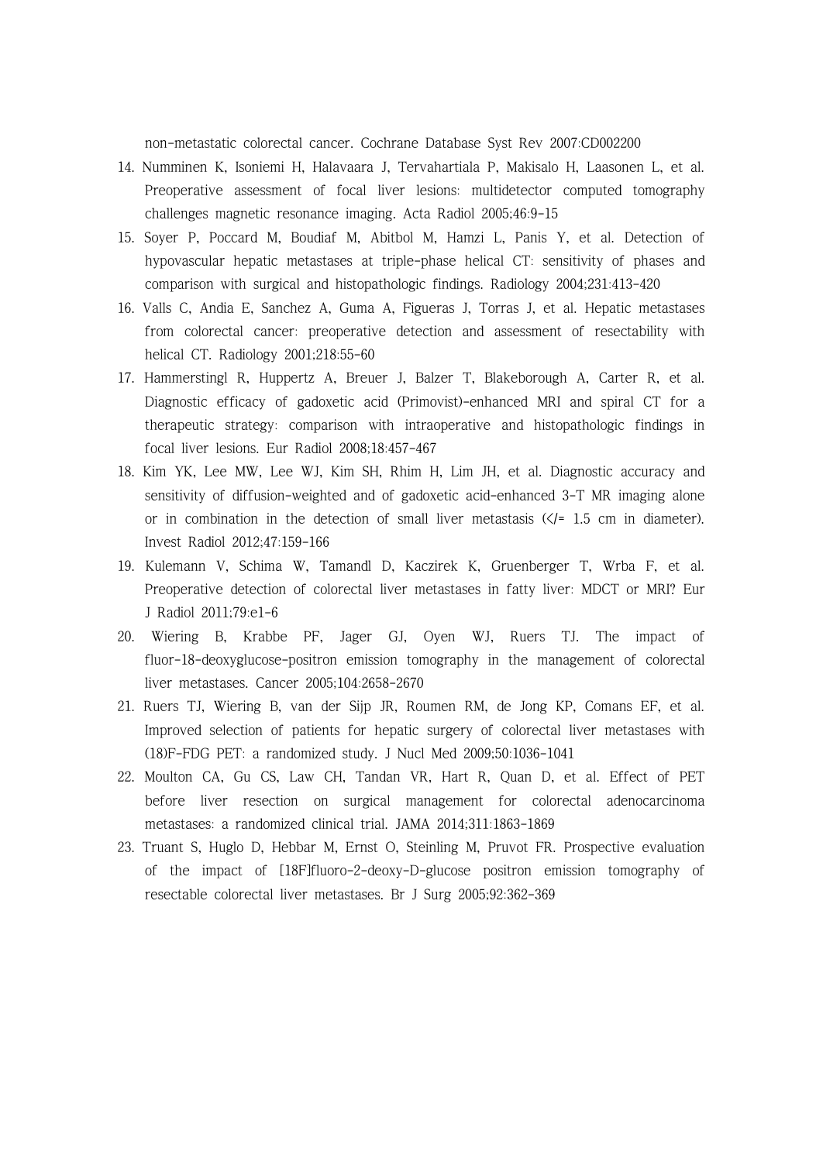non-metastatic colorectal cancer. Cochrane Database Syst Rev 2007:CD002200

- 14. Numminen K, Isoniemi H, Halavaara J, Tervahartiala P, Makisalo H, Laasonen L, et al. Preoperative assessment of focal liver lesions: multidetector computed tomography challenges magnetic resonance imaging. Acta Radiol 2005;46:9-15
- 15. Soyer P, Poccard M, Boudiaf M, Abitbol M, Hamzi L, Panis Y, et al. Detection of hypovascular hepatic metastases at triple-phase helical CT: sensitivity of phases and comparison with surgical and histopathologic findings. Radiology 2004;231:413-420
- 16. Valls C, Andia E, Sanchez A, Guma A, Figueras J, Torras J, et al. Hepatic metastases from colorectal cancer: preoperative detection and assessment of resectability with helical CT. Radiology 2001;218:55-60
- 17. Hammerstingl R, Huppertz A, Breuer J, Balzer T, Blakeborough A, Carter R, et al. Diagnostic efficacy of gadoxetic acid (Primovist)-enhanced MRI and spiral CT for a therapeutic strategy: comparison with intraoperative and histopathologic findings in focal liver lesions. Eur Radiol 2008;18:457-467
- 18. Kim YK, Lee MW, Lee WJ, Kim SH, Rhim H, Lim JH, et al. Diagnostic accuracy and sensitivity of diffusion-weighted and of gadoxetic acid-enhanced 3-T MR imaging alone or in combination in the detection of small liver metastasis  $(\angle f = 1.5 \text{ cm}$  in diameter). Invest Radiol 2012;47:159-166
- 19. Kulemann V, Schima W, Tamandl D, Kaczirek K, Gruenberger T, Wrba F, et al. Preoperative detection of colorectal liver metastases in fatty liver: MDCT or MRI? Eur J Radiol 2011;79:e1-6
- 20. Wiering B, Krabbe PF, Jager GJ, Oyen WJ, Ruers TJ. The impact of fluor-18-deoxyglucose-positron emission tomography in the management of colorectal liver metastases. Cancer 2005;104:2658-2670
- 21. Ruers TJ, Wiering B, van der Sijp JR, Roumen RM, de Jong KP, Comans EF, et al. Improved selection of patients for hepatic surgery of colorectal liver metastases with (18)F-FDG PET: a randomized study. J Nucl Med 2009;50:1036-1041
- 22. Moulton CA, Gu CS, Law CH, Tandan VR, Hart R, Quan D, et al. Effect of PET before liver resection on surgical management for colorectal adenocarcinoma metastases: a randomized clinical trial. JAMA 2014;311:1863-1869
- 23. Truant S, Huglo D, Hebbar M, Ernst O, Steinling M, Pruvot FR. Prospective evaluation of the impact of [18F]fluoro-2-deoxy-D-glucose positron emission tomography of resectable colorectal liver metastases. Br J Surg 2005;92:362-369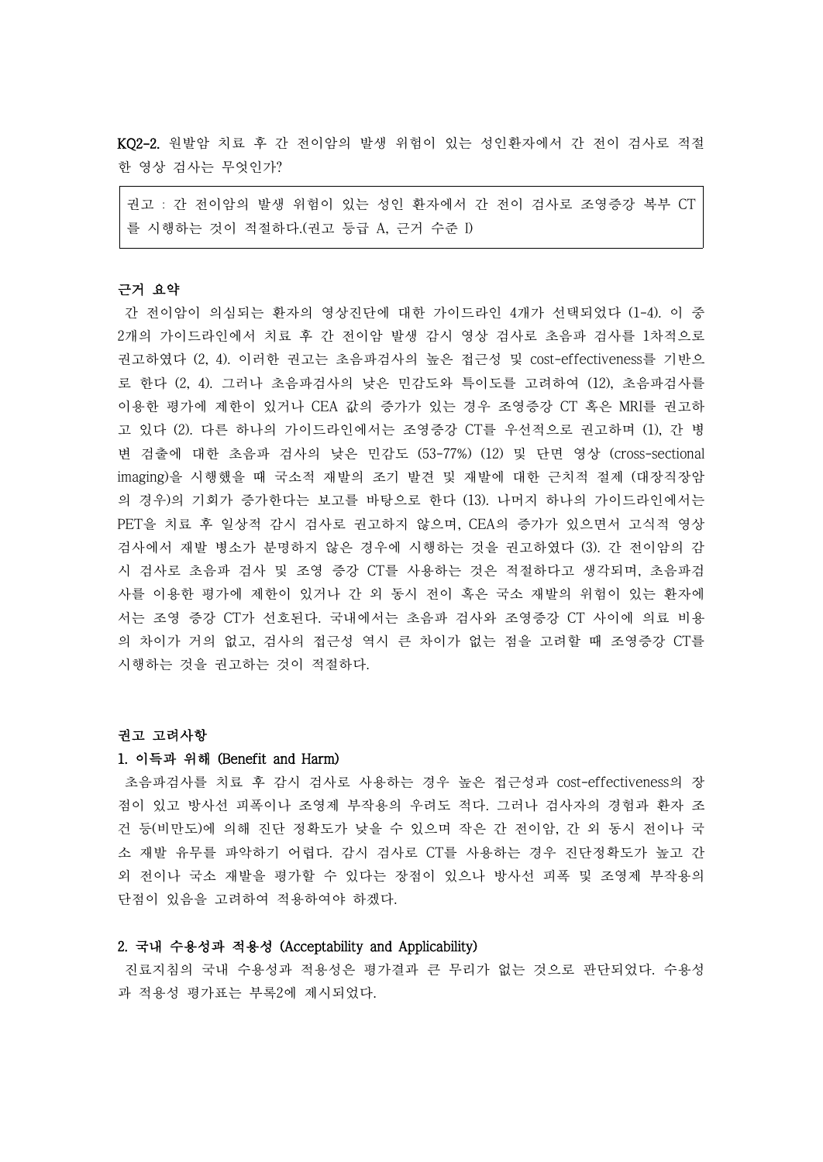KQ2-2. 원발암 치료 후 간 전이암의 발생 위험이 있는 성인환자에서 간 전이 검사로 적절 한 영상 검사는 무엇인가?

권고 : 간 전이암의 발생 위험이 있는 성인 환자에서 간 전이 검사로 조영증강 복부 CT 를 시행하는 것이 적절하다.(권고 등급 A, 근거 수준 I)

#### 근거 요약

간 전이암이 의심되는 환자의 영상진단에 대한 가이드라인 4개가 선택되었다 (1-4). 이 중 2개의 가이드라인에서 치료 후 간 전이암 발생 감시 영상 검사로 초음파 검사를 1차적으로 권고하였다 (2, 4). 이러한 권고는 초음파검사의 높은 접근성 및 cost-effectiveness를 기반으 로 한다 (2, 4). 그러나 초음파검사의 낮은 민감도와 특이도를 고려하여 (12), 초음파검사를 이용한 평가에 제한이 있거나 CEA 값의 증가가 있는 경우 조영증강 CT 혹은 MRI를 권고하 고 있다 (2). 다른 하나의 가이드라인에서는 조영증강 CT를 우선적으로 권고하며 (1), 간 병 변 검출에 대한 초음파 검사의 낮은 민감도 (53-77%) (12) 및 단면 영상 (cross-sectional imaging)을 시행했을 때 국소적 재발의 조기 발견 및 재발에 대한 근치적 절제 (대장직장암 의 경우)의 기회가 증가한다는 보고를 바탕으로 한다 (13). 나머지 하나의 가이드라인에서는 PET을 치료 후 일상적 감시 검사로 권고하지 않으며, CEA의 증가가 있으면서 고식적 영상 검사에서 재발 병소가 분명하지 않은 경우에 시행하는 것을 권고하였다 (3). 간 전이암의 감 시 검사로 초음파 검사 및 조영 증강 CT를 사용하는 것은 적절하다고 생각되며, 초음파검 사를 이용한 평가에 제한이 있거나 간 외 동시 전이 혹은 국소 재발의 위험이 있는 환자에 서는 조영 증강 CT가 선호된다. 국내에서는 초음파 검사와 조영증강 CT 사이에 의료 비용 의 차이가 거의 없고, 검사의 접근성 역시 큰 차이가 없는 점을 고려할 때 조영증강 CT를 시행하는 것을 권고하는 것이 적절하다.

#### 권고 고려사항

#### 1. 이득과 위해 (Benefit and Harm)

초음파검사를 치료 후 감시 검사로 사용하는 경우 높은 접근성과 cost-effectiveness의 장 점이 있고 방사선 피폭이나 조영제 부작용의 우려도 적다. 그러나 검사자의 경험과 환자 조 건 등(비만도)에 의해 진단 정확도가 낮을 수 있으며 작은 간 전이암, 간 외 동시 전이나 국 소 재발 유무를 파악하기 어렵다. 감시 검사로 CT를 사용하는 경우 진단정확도가 높고 간 외 전이나 국소 재발을 평가할 수 있다는 장점이 있으나 방사선 피폭 및 조영제 부작용의 단점이 있음을 고려하여 적용하여야 하겠다.

### 2. 국내 수용성과 적용성 (Acceptability and Applicability)

진료지침의 국내 수용성과 적용성은 평가결과 큰 무리가 없는 것으로 판단되었다. 수용성 과 적용성 평가표는 부록2에 제시되었다.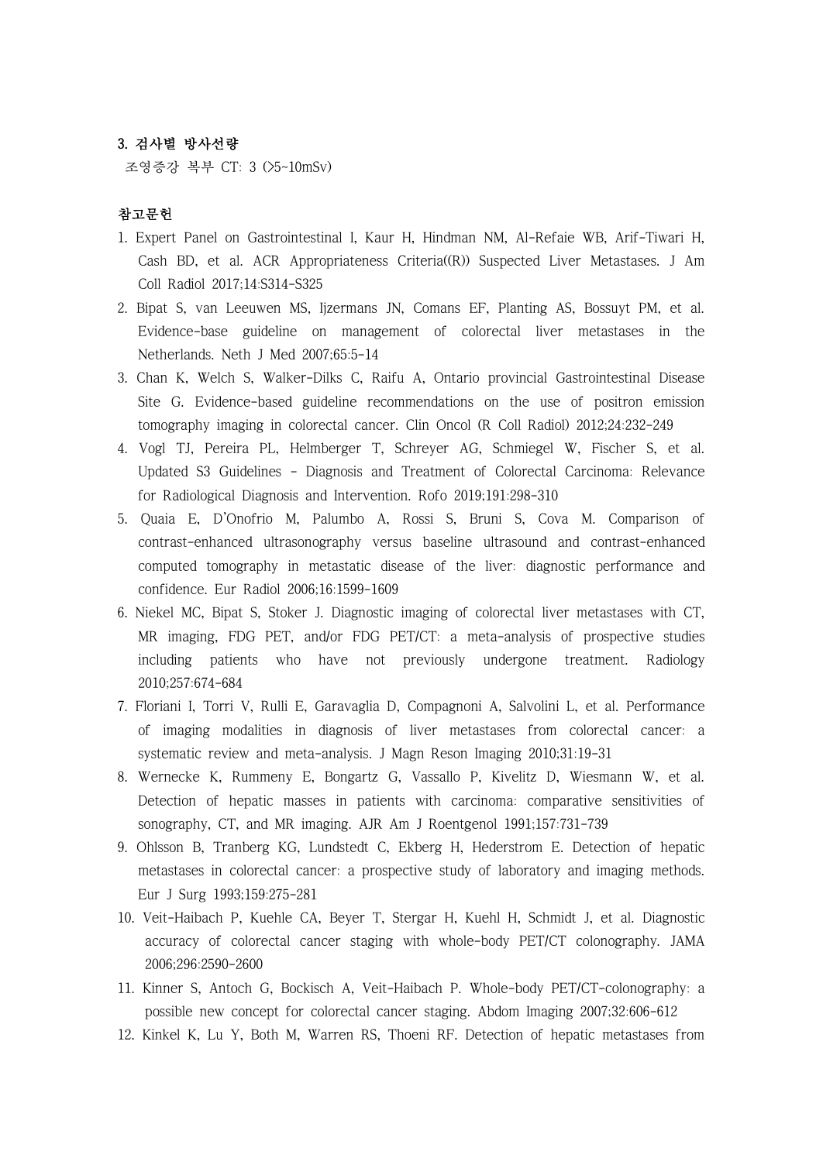### 3. 검사별 방사선량

조영증강 복부 CT: 3 (>5~10mSv)

## 참고문헌

- 1. Expert Panel on Gastrointestinal I, Kaur H, Hindman NM, Al-Refaie WB, Arif-Tiwari H, Cash BD, et al. ACR Appropriateness Criteria((R)) Suspected Liver Metastases. J Am Coll Radiol 2017;14:S314-S325
- 2. Bipat S, van Leeuwen MS, Ijzermans JN, Comans EF, Planting AS, Bossuyt PM, et al. Evidence-base guideline on management of colorectal liver metastases in the Netherlands. Neth J Med 2007;65:5-14
- 3. Chan K, Welch S, Walker-Dilks C, Raifu A, Ontario provincial Gastrointestinal Disease Site G. Evidence-based guideline recommendations on the use of positron emission tomography imaging in colorectal cancer. Clin Oncol (R Coll Radiol) 2012;24:232-249
- 4. Vogl TJ, Pereira PL, Helmberger T, Schreyer AG, Schmiegel W, Fischer S, et al. Updated S3 Guidelines - Diagnosis and Treatment of Colorectal Carcinoma: Relevance for Radiological Diagnosis and Intervention. Rofo 2019;191:298-310
- 5. Quaia E, D'Onofrio M, Palumbo A, Rossi S, Bruni S, Cova M. Comparison of contrast-enhanced ultrasonography versus baseline ultrasound and contrast-enhanced computed tomography in metastatic disease of the liver: diagnostic performance and confidence. Eur Radiol 2006;16:1599-1609
- 6. Niekel MC, Bipat S, Stoker J. Diagnostic imaging of colorectal liver metastases with CT, MR imaging, FDG PET, and/or FDG PET/CT: a meta-analysis of prospective studies including patients who have not previously undergone treatment. Radiology 2010;257:674-684
- 7. Floriani I, Torri V, Rulli E, Garavaglia D, Compagnoni A, Salvolini L, et al. Performance of imaging modalities in diagnosis of liver metastases from colorectal cancer: a systematic review and meta-analysis. J Magn Reson Imaging 2010;31:19-31
- 8. Wernecke K, Rummeny E, Bongartz G, Vassallo P, Kivelitz D, Wiesmann W, et al. Detection of hepatic masses in patients with carcinoma: comparative sensitivities of sonography, CT, and MR imaging. AJR Am J Roentgenol 1991;157:731-739
- 9. Ohlsson B, Tranberg KG, Lundstedt C, Ekberg H, Hederstrom E. Detection of hepatic metastases in colorectal cancer: a prospective study of laboratory and imaging methods. Eur J Surg 1993;159:275-281
- 10. Veit-Haibach P, Kuehle CA, Beyer T, Stergar H, Kuehl H, Schmidt J, et al. Diagnostic accuracy of colorectal cancer staging with whole-body PET/CT colonography. JAMA 2006;296:2590-2600
- 11. Kinner S, Antoch G, Bockisch A, Veit-Haibach P. Whole-body PET/CT-colonography: a possible new concept for colorectal cancer staging. Abdom Imaging 2007;32:606-612
- 12. Kinkel K, Lu Y, Both M, Warren RS, Thoeni RF. Detection of hepatic metastases from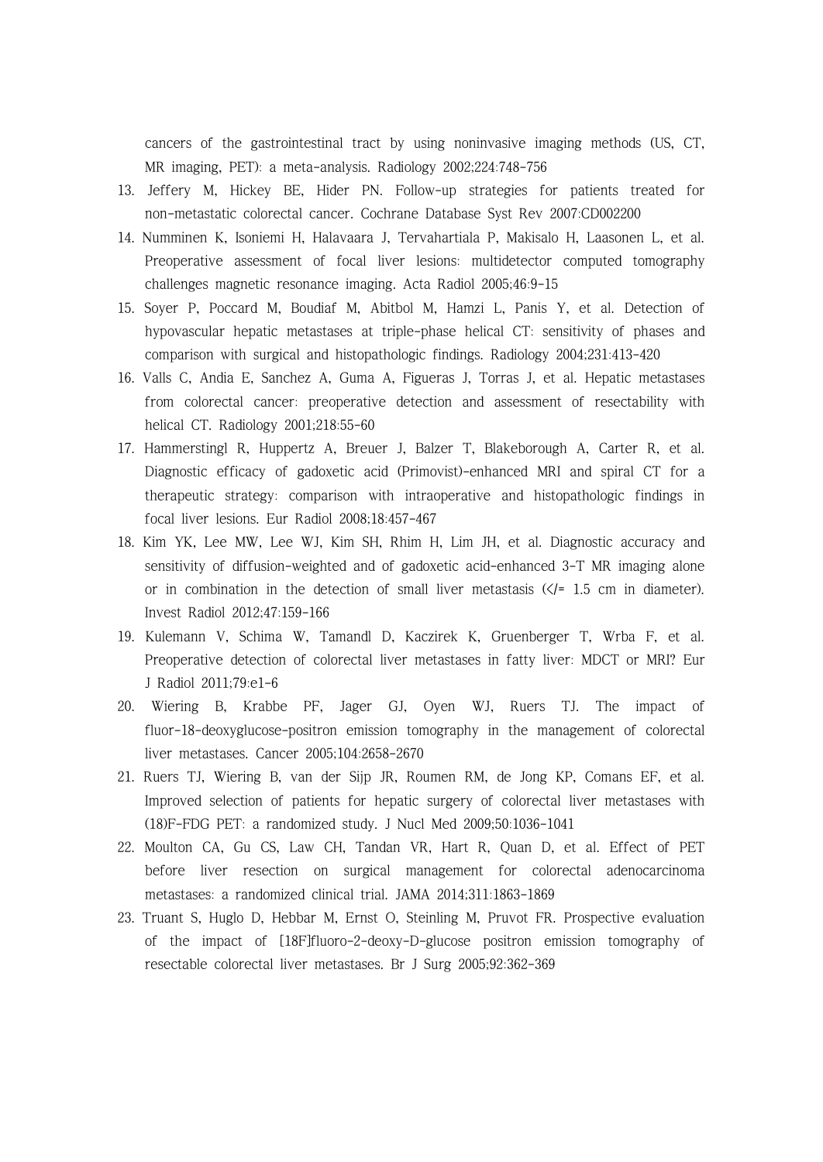cancers of the gastrointestinal tract by using noninvasive imaging methods (US, CT, MR imaging, PET): a meta-analysis. Radiology 2002;224:748-756

- 13. Jeffery M, Hickey BE, Hider PN. Follow-up strategies for patients treated for non-metastatic colorectal cancer. Cochrane Database Syst Rev 2007:CD002200
- 14. Numminen K, Isoniemi H, Halavaara J, Tervahartiala P, Makisalo H, Laasonen L, et al. Preoperative assessment of focal liver lesions: multidetector computed tomography challenges magnetic resonance imaging. Acta Radiol 2005;46:9-15
- 15. Soyer P, Poccard M, Boudiaf M, Abitbol M, Hamzi L, Panis Y, et al. Detection of hypovascular hepatic metastases at triple-phase helical CT: sensitivity of phases and comparison with surgical and histopathologic findings. Radiology 2004;231:413-420
- 16. Valls C, Andia E, Sanchez A, Guma A, Figueras J, Torras J, et al. Hepatic metastases from colorectal cancer: preoperative detection and assessment of resectability with helical CT. Radiology 2001;218:55-60
- 17. Hammerstingl R, Huppertz A, Breuer J, Balzer T, Blakeborough A, Carter R, et al. Diagnostic efficacy of gadoxetic acid (Primovist)-enhanced MRI and spiral CT for a therapeutic strategy: comparison with intraoperative and histopathologic findings in focal liver lesions. Eur Radiol 2008;18:457-467
- 18. Kim YK, Lee MW, Lee WJ, Kim SH, Rhim H, Lim JH, et al. Diagnostic accuracy and sensitivity of diffusion-weighted and of gadoxetic acid-enhanced 3-T MR imaging alone or in combination in the detection of small liver metastasis  $(\angle f = 1.5 \text{ cm}$  in diameter). Invest Radiol 2012;47:159-166
- 19. Kulemann V, Schima W, Tamandl D, Kaczirek K, Gruenberger T, Wrba F, et al. Preoperative detection of colorectal liver metastases in fatty liver: MDCT or MRI? Eur J Radiol 2011;79:e1-6
- 20. Wiering B, Krabbe PF, Jager GJ, Oyen WJ, Ruers TJ. The impact of fluor-18-deoxyglucose-positron emission tomography in the management of colorectal liver metastases. Cancer 2005;104:2658-2670
- 21. Ruers TJ, Wiering B, van der Sijp JR, Roumen RM, de Jong KP, Comans EF, et al. Improved selection of patients for hepatic surgery of colorectal liver metastases with (18)F-FDG PET: a randomized study. J Nucl Med 2009;50:1036-1041
- 22. Moulton CA, Gu CS, Law CH, Tandan VR, Hart R, Quan D, et al. Effect of PET before liver resection on surgical management for colorectal adenocarcinoma metastases: a randomized clinical trial. JAMA 2014;311:1863-1869
- 23. Truant S, Huglo D, Hebbar M, Ernst O, Steinling M, Pruvot FR. Prospective evaluation of the impact of [18F]fluoro-2-deoxy-D-glucose positron emission tomography of resectable colorectal liver metastases. Br J Surg 2005;92:362-369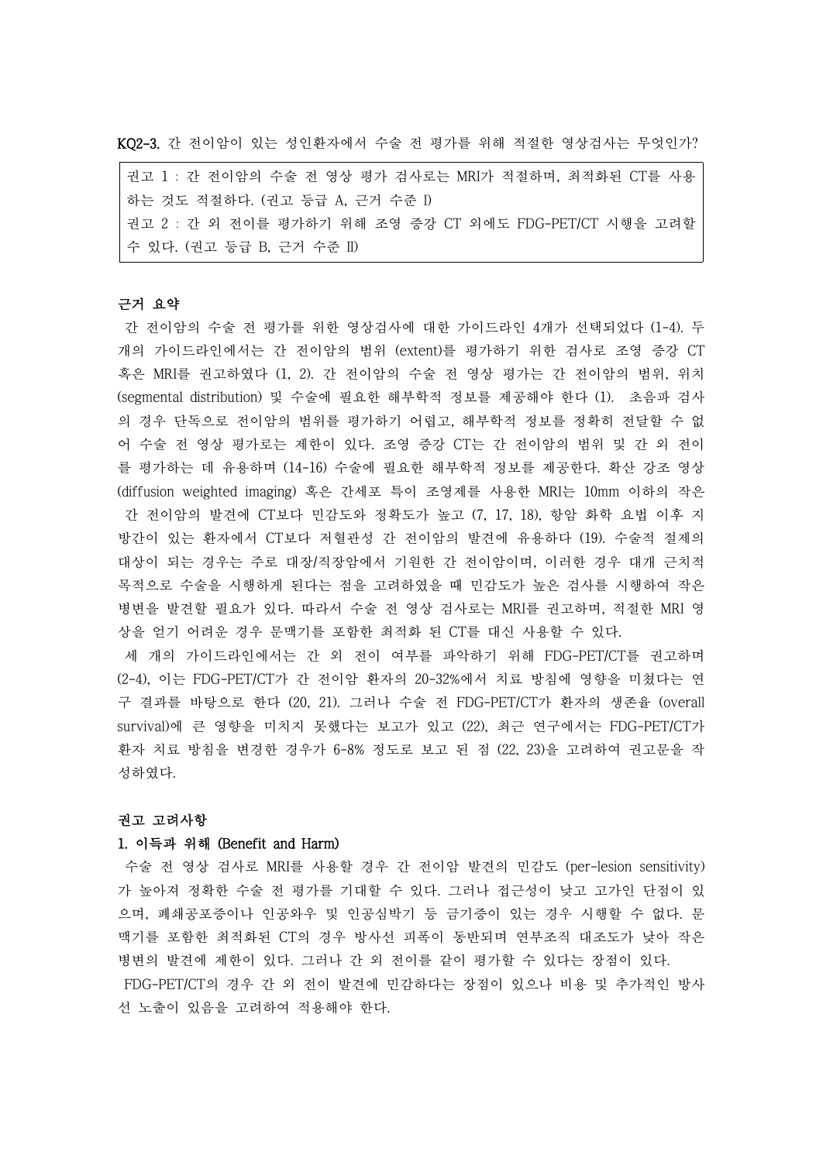KQ2-3. 간 전이암이 있는 성인환자에서 수술 전 평가를 위해 적절한 영상검사는 무엇인가?

권고 1 : 간 전이암의 수술 전 영상 평가 검사로는 MRI가 적절하며, 최적화된 CT를 사용 하는 것도 적절하다. (권고 등급 A, 근거 수준 I) 권고 2 : 간 외 전이를 평가하기 위해 조영 증강 CT 외에도 FDG-PET/CT 시행을 고려할 수 있다. (권고 등급 B, 근거 수준 II)

# 근거 요약

간 전이암의 수술 전 평가를 위한 영상검사에 대한 가이드라인 4개가 선택되었다 (1-4). 두 개의 가이드라인에서는 간 전이암의 범위 (extent)를 평가하기 위한 검사로 조영 증강 CT 혹은 MRI를 권고하였다 (1, 2). 간 전이암의 수술 전 영상 평가는 간 전이암의 범위, 위치 (segmental distribution) 및 수술에 필요한 해부학적 정보를 제공해야 한다 (1). 초음파 검사 의 경우 단독으로 전이암의 범위를 평가하기 어렵고, 해부학적 정보를 정확히 전달할 수 없 어 수술 전 영상 평가로는 제한이 있다. 조영 증강 CT는 간 전이암의 범위 및 간 외 전이 를 평가하는 데 유용하며 (14-16) 수술에 필요한 해부학적 정보를 제공한다. 확산 강조 영상 (diffusion weighted imaging) 혹은 간세포 특이 조영제를 사용한 MRI는 10mm 이하의 작은 간 전이암의 발견에 CT보다 민감도와 정확도가 높고 (7, 17, 18), 항암 화학 요법 이후 지 방간이 있는 환자에서 CT보다 저혈관성 간 전이암의 발견에 유용하다 (19). 수술적 절제의 대상이 되는 경우는 주로 대장/직장암에서 기원한 간 전이암이며, 이러한 경우 대개 근치적 목적으로 수술을 시행하게 된다는 점을 고려하였을 때 민감도가 높은 검사를 시행하여 작은 병변을 발견할 필요가 있다. 따라서 수술 전 영상 검사로는 MRI를 권고하며, 적절한 MRI 영 상을 얻기 어려운 경우 문맥기를 포함한 최적화 된 CT를 대신 사용할 수 있다.<br>세 개의 가이드라인에서는 간 외 전이 여부를 파악하기 위해 FDG-PET/CT를 권고하며

(2-4), 이는 FDG-PET/CT가 간 전이암 환자의 20-32%에서 치료 방침에 영향을 미쳤다는 연 구 결과를 바탕으로 한다 (20, 21). 그러나 수술 전 FDG-PET/CT가 환자의 생존율 (overall survival)에 큰 영향을 미치지 못했다는 보고가 있고 (22), 최근 연구에서는 FDG-PET/CT가 환자 치료 방침을 변경한 경우가 6-8% 정도로 보고 된 점 (22, 23)을 고려하여 권고문을 작 성하였다.

#### 권고 고려사항

#### 1. 이득과 위해 (Benefit and Harm)

수술 전 영상 검사로 MRI를 사용할 경우 간 전이암 발견의 민감도 (per-lesion sensitivity) 가 높아져 정확한 수술 전 평가를 기대할 수 있다. 그러나 접근성이 낮고 고가인 단점이 있 으며, 폐쇄공포증이나 인공와우 및 인공심박기 등 금기증이 있는 경우 시행할 수 없다. 문 맥기를 포함한 최적화된 CT의 경우 방사선 피폭이 동반되며 연부조직 대조도가 낮아 작은 병변의 발견에 제한이 있다. 그러나 간 외 전이를 같이 평가할 수 있다는 장점이 있다.<br>FDG-PET/CT의 경우 간 외 전이 발견에 민감하다는 장점이 있으나 비용 및 추가적인 방사 선 노출이 있음을 고려하여 적용해야 한다.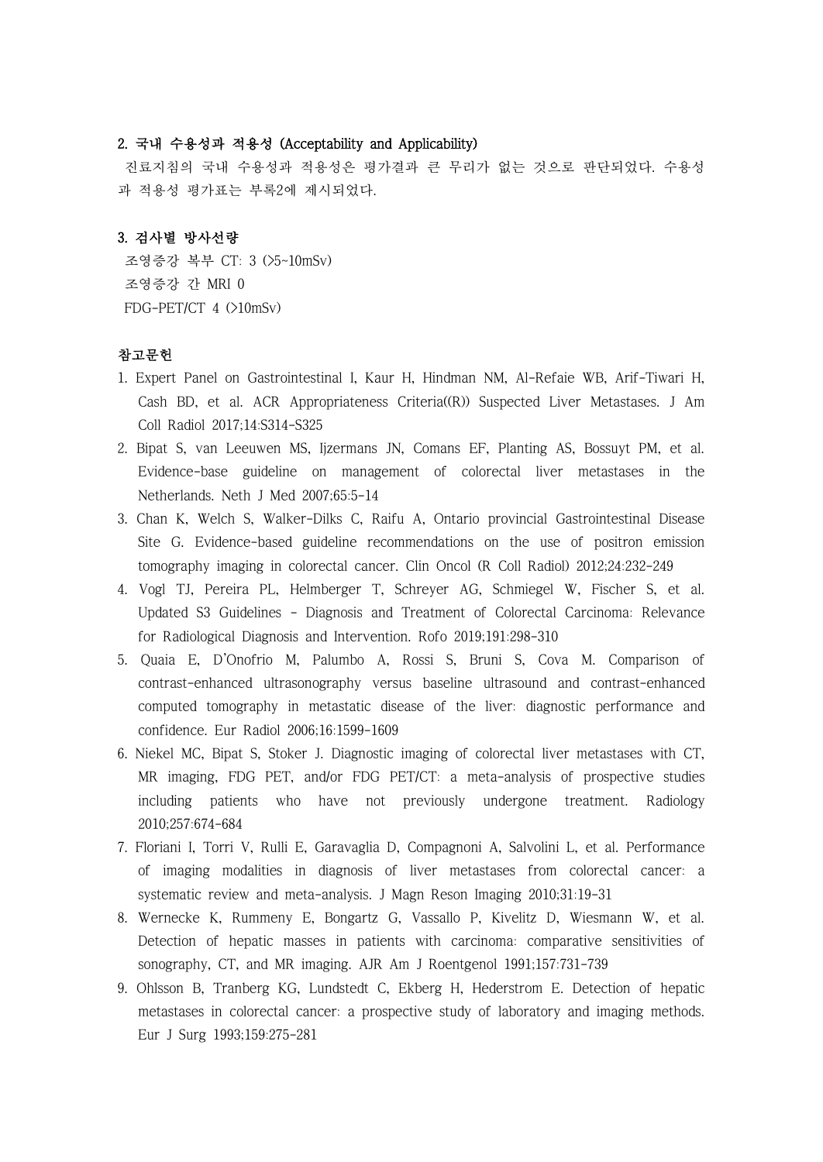## 2. 국내 수용성과 적용성 (Acceptability and Applicability)

진료지침의 국내 수용성과 적용성은 평가결과 큰 무리가 없는 것으로 판단되었다. 수용성 과 적용성 평가표는 부록2에 제시되었다.

## 3. 검사별 방사선량

조영증강 복부 CT: 3 (>5~10mSv) 조영증강 간 MRI 0 FDG-PET/CT 4 (>10mSv)

# 참고문헌

- 1. Expert Panel on Gastrointestinal I, Kaur H, Hindman NM, Al-Refaie WB, Arif-Tiwari H, Cash BD, et al. ACR Appropriateness Criteria((R)) Suspected Liver Metastases. J Am Coll Radiol 2017;14:S314-S325
- 2. Bipat S, van Leeuwen MS, Ijzermans JN, Comans EF, Planting AS, Bossuyt PM, et al. Evidence-base guideline on management of colorectal liver metastases in the Netherlands. Neth J Med 2007;65:5-14
- 3. Chan K, Welch S, Walker-Dilks C, Raifu A, Ontario provincial Gastrointestinal Disease Site G. Evidence-based guideline recommendations on the use of positron emission tomography imaging in colorectal cancer. Clin Oncol (R Coll Radiol) 2012;24:232-249
- 4. Vogl TJ, Pereira PL, Helmberger T, Schreyer AG, Schmiegel W, Fischer S, et al. Updated S3 Guidelines - Diagnosis and Treatment of Colorectal Carcinoma: Relevance for Radiological Diagnosis and Intervention. Rofo 2019;191:298-310
- 5. Quaia E, D'Onofrio M, Palumbo A, Rossi S, Bruni S, Cova M. Comparison of contrast-enhanced ultrasonography versus baseline ultrasound and contrast-enhanced computed tomography in metastatic disease of the liver: diagnostic performance and confidence. Eur Radiol 2006;16:1599-1609
- 6. Niekel MC, Bipat S, Stoker J. Diagnostic imaging of colorectal liver metastases with CT, MR imaging, FDG PET, and/or FDG PET/CT: a meta-analysis of prospective studies including patients who have not previously undergone treatment. Radiology 2010;257:674-684
- 7. Floriani I, Torri V, Rulli E, Garavaglia D, Compagnoni A, Salvolini L, et al. Performance of imaging modalities in diagnosis of liver metastases from colorectal cancer: a systematic review and meta-analysis. J Magn Reson Imaging 2010;31:19-31
- 8. Wernecke K, Rummeny E, Bongartz G, Vassallo P, Kivelitz D, Wiesmann W, et al. Detection of hepatic masses in patients with carcinoma: comparative sensitivities of sonography, CT, and MR imaging. AJR Am J Roentgenol 1991;157:731-739
- 9. Ohlsson B, Tranberg KG, Lundstedt C, Ekberg H, Hederstrom E. Detection of hepatic metastases in colorectal cancer: a prospective study of laboratory and imaging methods. Eur J Surg 1993;159:275-281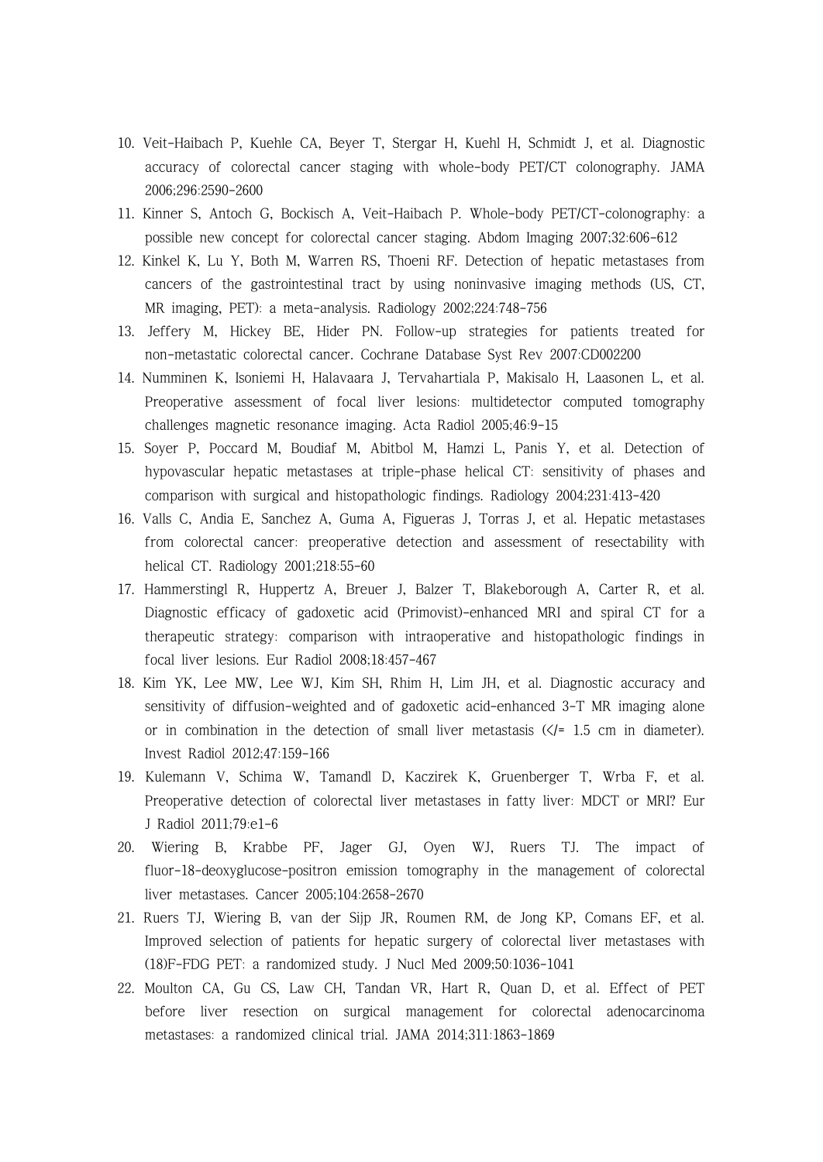- 10. Veit-Haibach P, Kuehle CA, Beyer T, Stergar H, Kuehl H, Schmidt J, et al. Diagnostic accuracy of colorectal cancer staging with whole-body PET/CT colonography. JAMA 2006;296:2590-2600
- 11. Kinner S, Antoch G, Bockisch A, Veit-Haibach P. Whole-body PET/CT-colonography: a possible new concept for colorectal cancer staging. Abdom Imaging 2007;32:606-612
- 12. Kinkel K, Lu Y, Both M, Warren RS, Thoeni RF. Detection of hepatic metastases from cancers of the gastrointestinal tract by using noninvasive imaging methods (US, CT, MR imaging, PET): a meta-analysis. Radiology 2002;224:748-756
- 13. Jeffery M, Hickey BE, Hider PN. Follow-up strategies for patients treated for non-metastatic colorectal cancer. Cochrane Database Syst Rev 2007:CD002200
- 14. Numminen K, Isoniemi H, Halavaara J, Tervahartiala P, Makisalo H, Laasonen L, et al. Preoperative assessment of focal liver lesions: multidetector computed tomography challenges magnetic resonance imaging. Acta Radiol 2005;46:9-15
- 15. Soyer P, Poccard M, Boudiaf M, Abitbol M, Hamzi L, Panis Y, et al. Detection of hypovascular hepatic metastases at triple-phase helical CT: sensitivity of phases and comparison with surgical and histopathologic findings. Radiology 2004;231:413-420
- 16. Valls C, Andia E, Sanchez A, Guma A, Figueras J, Torras J, et al. Hepatic metastases from colorectal cancer: preoperative detection and assessment of resectability with helical CT. Radiology 2001;218:55-60
- 17. Hammerstingl R, Huppertz A, Breuer J, Balzer T, Blakeborough A, Carter R, et al. Diagnostic efficacy of gadoxetic acid (Primovist)-enhanced MRI and spiral CT for a therapeutic strategy: comparison with intraoperative and histopathologic findings in focal liver lesions. Eur Radiol 2008;18:457-467
- 18. Kim YK, Lee MW, Lee WJ, Kim SH, Rhim H, Lim JH, et al. Diagnostic accuracy and sensitivity of diffusion-weighted and of gadoxetic acid-enhanced 3-T MR imaging alone or in combination in the detection of small liver metastasis  $(\zeta$ = 1.5 cm in diameter). Invest Radiol 2012;47:159-166
- 19. Kulemann V, Schima W, Tamandl D, Kaczirek K, Gruenberger T, Wrba F, et al. Preoperative detection of colorectal liver metastases in fatty liver: MDCT or MRI? Eur J Radiol 2011;79:e1-6
- 20. Wiering B, Krabbe PF, Jager GJ, Oyen WJ, Ruers TJ. The impact of fluor-18-deoxyglucose-positron emission tomography in the management of colorectal liver metastases. Cancer 2005;104:2658-2670
- 21. Ruers TJ, Wiering B, van der Sijp JR, Roumen RM, de Jong KP, Comans EF, et al. Improved selection of patients for hepatic surgery of colorectal liver metastases with (18)F-FDG PET: a randomized study. J Nucl Med 2009;50:1036-1041
- 22. Moulton CA, Gu CS, Law CH, Tandan VR, Hart R, Quan D, et al. Effect of PET before liver resection on surgical management for colorectal adenocarcinoma metastases: a randomized clinical trial. JAMA 2014;311:1863-1869